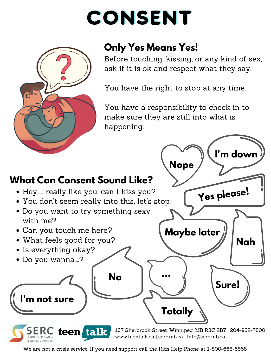# CONSENT



## **Only Yes Means Yes!**

Before touching, kissing, or any kind of sex, ask if it is ok and respect what they say.

You have the right to stop at any time.

You have a responsibility to check in to make sure they are still into what is happening.



We are not a crisis service. If you need support call the Kids Help Phone at 1-800-668-6868